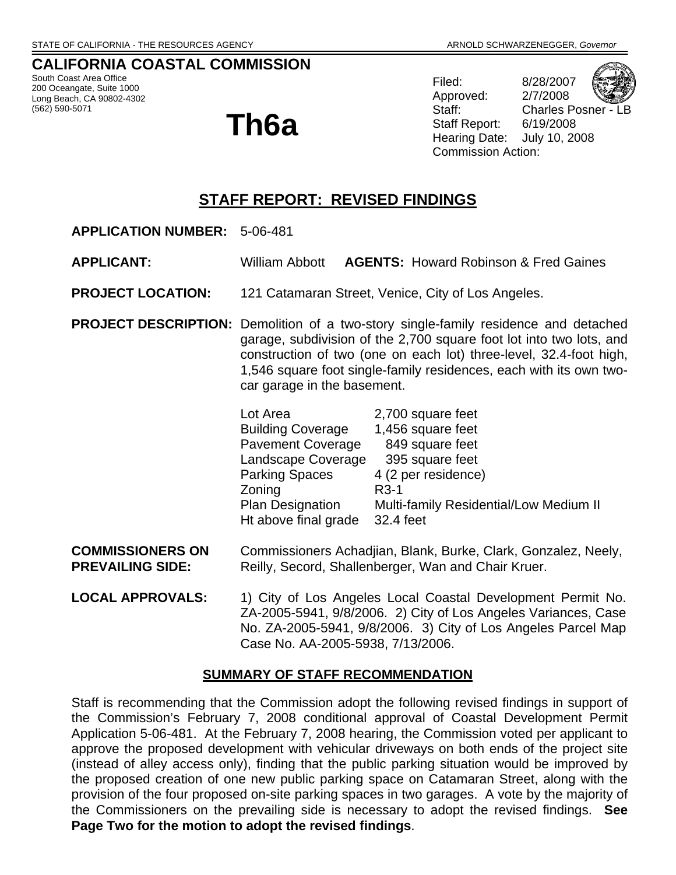## **CALIFORNIA COASTAL COMMISSION**

South Coast Area Office 200 Oceangate, Suite 1000 Long Beach, CA 90802-4302 (562) 590-5071

# **Th6a**

Filed: 8/28/2007 Approved: 2/7/2008 Staff Report: 6/19/2008 Commission Action:



Staff: Charles Posner - LB Hearing Date: July 10, 2008

# **STAFF REPORT: REVISED FINDINGS**

- **APPLICATION NUMBER:** 5-06-481
- **APPLICANT:** William Abbott **AGENTS:** Howard Robinson & Fred Gaines
- **PROJECT LOCATION:** 121 Catamaran Street, Venice, City of Los Angeles.
- **PROJECT DESCRIPTION:** Demolition of a two-story single-family residence and detached garage, subdivision of the 2,700 square foot lot into two lots, and construction of two (one on each lot) three-level, 32.4-foot high, 1,546 square foot single-family residences, each with its own twocar garage in the basement.

| Lot Area                 | 2,700 square feet                      |
|--------------------------|----------------------------------------|
| <b>Building Coverage</b> | 1,456 square feet                      |
| <b>Pavement Coverage</b> | 849 square feet                        |
| Landscape Coverage       | 395 square feet                        |
| <b>Parking Spaces</b>    | 4 (2 per residence)                    |
| Zoning                   | $R3-1$                                 |
| Plan Designation         | Multi-family Residential/Low Medium II |
| Ht above final grade     | 32.4 feet                              |

- **COMMISSIONERS ON** Commissioners Achadjian, Blank, Burke, Clark, Gonzalez, Neely, **PREVAILING SIDE:** Reilly, Secord, Shallenberger, Wan and Chair Kruer.
- **LOCAL APPROVALS:** 1) City of Los Angeles Local Coastal Development Permit No. ZA-2005-5941, 9/8/2006. 2) City of Los Angeles Variances, Case No. ZA-2005-5941, 9/8/2006. 3) City of Los Angeles Parcel Map Case No. AA-2005-5938, 7/13/2006.

#### **SUMMARY OF STAFF RECOMMENDATION**

Staff is recommending that the Commission adopt the following revised findings in support of the Commission's February 7, 2008 conditional approval of Coastal Development Permit Application 5-06-481. At the February 7, 2008 hearing, the Commission voted per applicant to approve the proposed development with vehicular driveways on both ends of the project site (instead of alley access only), finding that the public parking situation would be improved by the proposed creation of one new public parking space on Catamaran Street, along with the provision of the four proposed on-site parking spaces in two garages. A vote by the majority of the Commissioners on the prevailing side is necessary to adopt the revised findings. **See Page Two for the motion to adopt the revised findings**.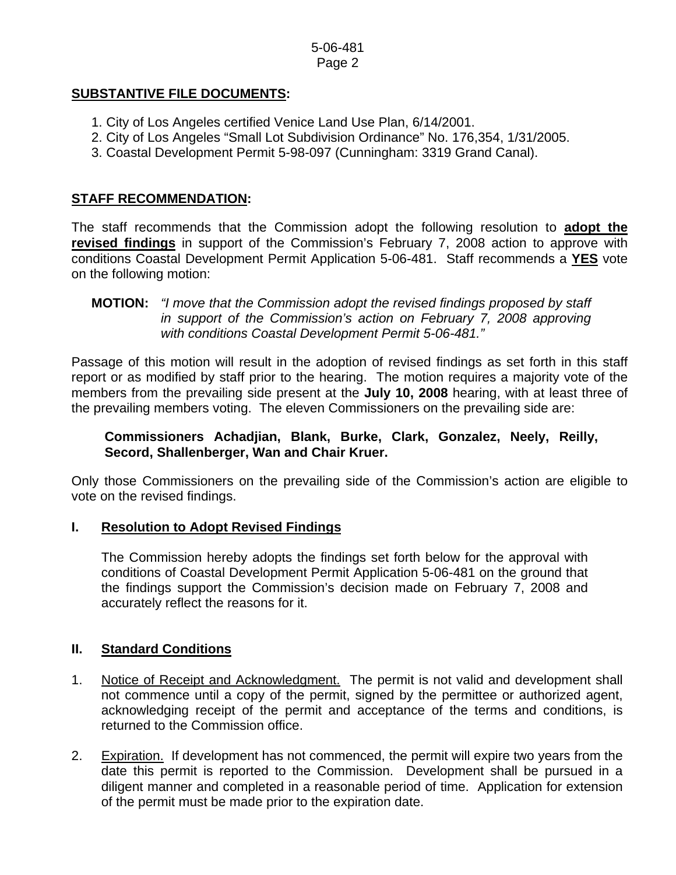## **SUBSTANTIVE FILE DOCUMENTS:**

- 1. City of Los Angeles certified Venice Land Use Plan, 6/14/2001.
- 2. City of Los Angeles "Small Lot Subdivision Ordinance" No. 176,354, 1/31/2005.
- 3. Coastal Development Permit 5-98-097 (Cunningham: 3319 Grand Canal).

## **STAFF RECOMMENDATION:**

The staff recommends that the Commission adopt the following resolution to **adopt the revised findings** in support of the Commission's February 7, 2008 action to approve with conditions Coastal Development Permit Application 5-06-481. Staff recommends a **YES** vote on the following motion:

Passage of this motion will result in the adoption of revised findings as set forth in this staff report or as modified by staff prior to the hearing. The motion requires a majority vote of the members from the prevailing side present at the **July 10, 2008** hearing, with at least three of the prevailing members voting. The eleven Commissioners on the prevailing side are:

## **Commissioners Achadjian, Blank, Burke, Clark, Gonzalez, Neely, Reilly, Secord, Shallenberger, Wan and Chair Kruer.**

Only those Commissioners on the prevailing side of the Commission's action are eligible to vote on the revised findings.

## **I. Resolution to Adopt Revised Findings**

The Commission hereby adopts the findings set forth below for the approval with conditions of Coastal Development Permit Application 5-06-481 on the ground that the findings support the Commission's decision made on February 7, 2008 and accurately reflect the reasons for it.

## **II. Standard Conditions**

- 1. Notice of Receipt and Acknowledgment. The permit is not valid and development shall not commence until a copy of the permit, signed by the permittee or authorized agent, acknowledging receipt of the permit and acceptance of the terms and conditions, is returned to the Commission office.
- 2. Expiration. If development has not commenced, the permit will expire two years from the date this permit is reported to the Commission. Development shall be pursued in a diligent manner and completed in a reasonable period of time. Application for extension of the permit must be made prior to the expiration date.

**MOTION:** *"I move that the Commission adopt the revised findings proposed by staff in support of the Commission's action on February 7, 2008 approving with conditions Coastal Development Permit 5-06-481."*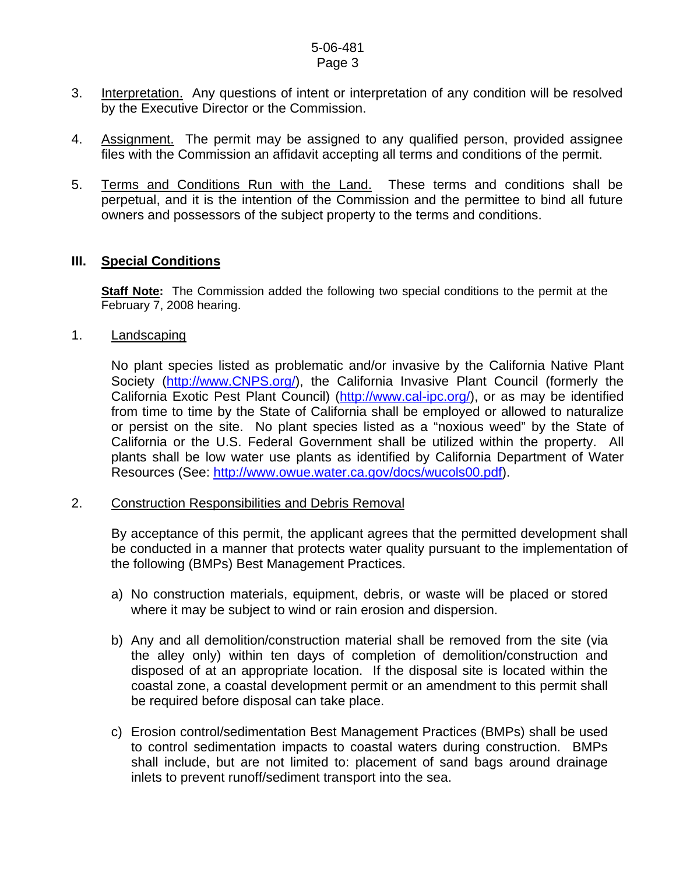- 3. Interpretation. Any questions of intent or interpretation of any condition will be resolved by the Executive Director or the Commission.
- 4. Assignment. The permit may be assigned to any qualified person, provided assignee files with the Commission an affidavit accepting all terms and conditions of the permit.
- 5. Terms and Conditions Run with the Land. These terms and conditions shall be perpetual, and it is the intention of the Commission and the permittee to bind all future owners and possessors of the subject property to the terms and conditions.

#### **III. Special Conditions**

**Staff Note:** The Commission added the following two special conditions to the permit at the February 7, 2008 hearing.

1. Landscaping

No plant species listed as problematic and/or invasive by the California Native Plant Society ([http://www.CNPS.org/\)](http://www.cnps.org/), the California Invasive Plant Council (formerly the California Exotic Pest Plant Council) ([http://www.cal-ipc.org/\)](http://www.cal-ipc.org/), or as may be identified from time to time by the State of California shall be employed or allowed to naturalize or persist on the site. No plant species listed as a "noxious weed" by the State of California or the U.S. Federal Government shall be utilized within the property. All plants shall be low water use plants as identified by California Department of Water Resources (See: [http://www.owue.water.ca.gov/docs/wucols00.pdf\)](http://www.owue.water.ca.gov/docs/wucols00.pdf).

#### 2. Construction Responsibilities and Debris Removal

By acceptance of this permit, the applicant agrees that the permitted development shall be conducted in a manner that protects water quality pursuant to the implementation of the following (BMPs) Best Management Practices.

- a) No construction materials, equipment, debris, or waste will be placed or stored where it may be subject to wind or rain erosion and dispersion.
- b) Any and all demolition/construction material shall be removed from the site (via the alley only) within ten days of completion of demolition/construction and disposed of at an appropriate location. If the disposal site is located within the coastal zone, a coastal development permit or an amendment to this permit shall be required before disposal can take place.
- c) Erosion control/sedimentation Best Management Practices (BMPs) shall be used to control sedimentation impacts to coastal waters during construction. BMPs shall include, but are not limited to: placement of sand bags around drainage inlets to prevent runoff/sediment transport into the sea.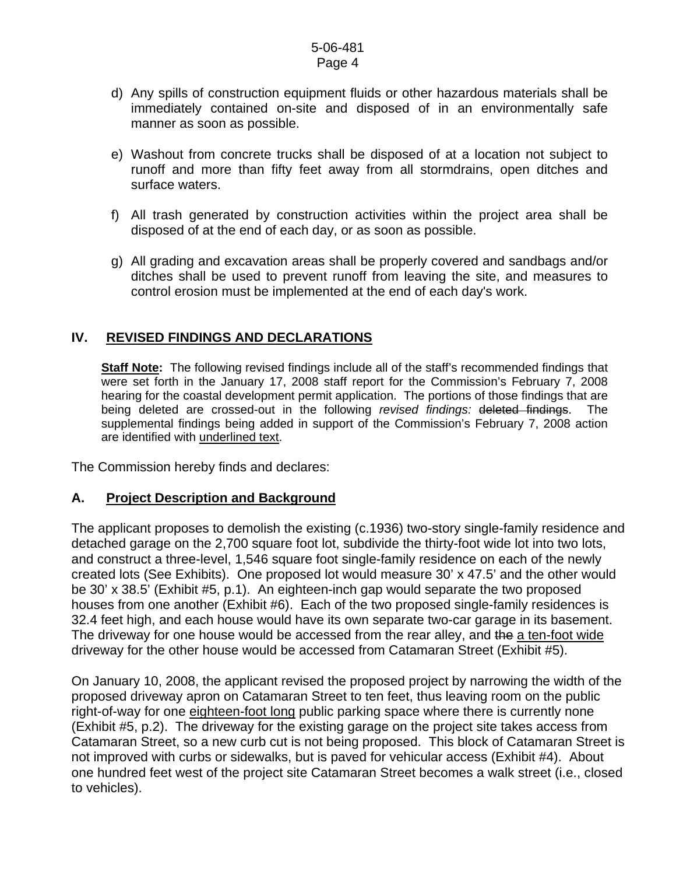- d) Any spills of construction equipment fluids or other hazardous materials shall be immediately contained on-site and disposed of in an environmentally safe manner as soon as possible.
- e) Washout from concrete trucks shall be disposed of at a location not subject to runoff and more than fifty feet away from all stormdrains, open ditches and surface waters.
- f) All trash generated by construction activities within the project area shall be disposed of at the end of each day, or as soon as possible.
- g) All grading and excavation areas shall be properly covered and sandbags and/or ditches shall be used to prevent runoff from leaving the site, and measures to control erosion must be implemented at the end of each day's work.

## **IV. REVISED FINDINGS AND DECLARATIONS**

**Staff Note:** The following revised findings include all of the staff's recommended findings that were set forth in the January 17, 2008 staff report for the Commission's February 7, 2008 hearing for the coastal development permit application. The portions of those findings that are being deleted are crossed-out in the following *revised findings:* deleted findings. The supplemental findings being added in support of the Commission's February 7, 2008 action are identified with underlined text.

The Commission hereby finds and declares:

## **A. Project Description and Background**

The applicant proposes to demolish the existing (c.1936) two-story single-family residence and detached garage on the 2,700 square foot lot, subdivide the thirty-foot wide lot into two lots, and construct a three-level, 1,546 square foot single-family residence on each of the newly created lots (See Exhibits). One proposed lot would measure 30' x 47.5' and the other would be 30' x 38.5' (Exhibit #5, p.1). An eighteen-inch gap would separate the two proposed houses from one another (Exhibit #6). Each of the two proposed single-family residences is 32.4 feet high, and each house would have its own separate two-car garage in its basement. The driveway for one house would be accessed from the rear alley, and the a ten-foot wide driveway for the other house would be accessed from Catamaran Street (Exhibit #5).

On January 10, 2008, the applicant revised the proposed project by narrowing the width of the proposed driveway apron on Catamaran Street to ten feet, thus leaving room on the public right-of-way for one eighteen-foot long public parking space where there is currently none (Exhibit #5, p.2). The driveway for the existing garage on the project site takes access from Catamaran Street, so a new curb cut is not being proposed. This block of Catamaran Street is not improved with curbs or sidewalks, but is paved for vehicular access (Exhibit #4). About one hundred feet west of the project site Catamaran Street becomes a walk street (i.e., closed to vehicles).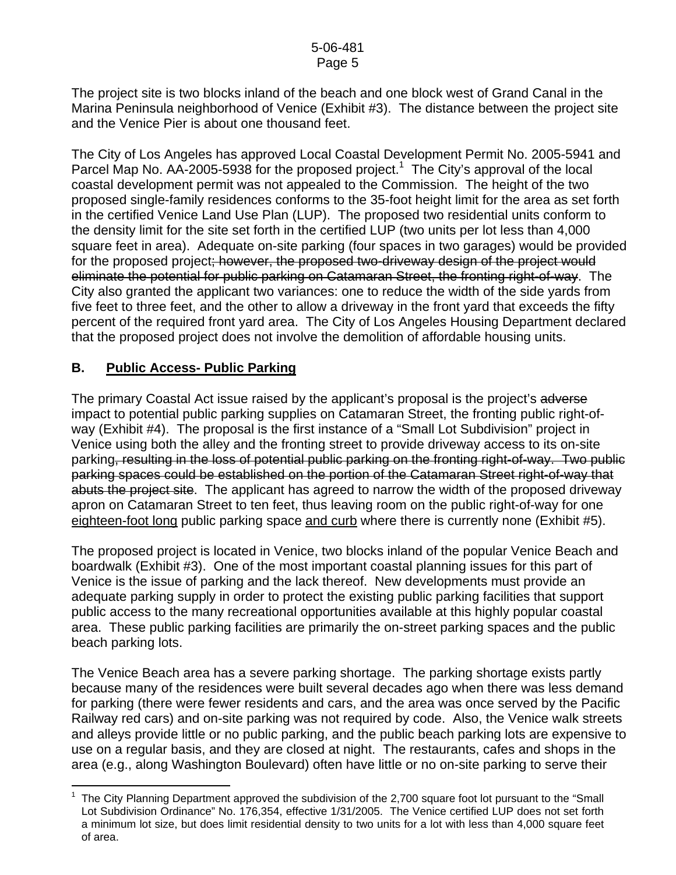The project site is two blocks inland of the beach and one block west of Grand Canal in the Marina Peninsula neighborhood of Venice (Exhibit #3). The distance between the project site and the Venice Pier is about one thousand feet.

The City of Los Angeles has approved Local Coastal Development Permit No. 2005-5941 and Parcel Map No.  $AA$ -2005-5938 for the proposed project.<sup>[1](#page-4-0)</sup> The City's approval of the local coastal development permit was not appealed to the Commission. The height of the two proposed single-family residences conforms to the 35-foot height limit for the area as set forth in the certified Venice Land Use Plan (LUP). The proposed two residential units conform to the density limit for the site set forth in the certified LUP (two units per lot less than 4,000 square feet in area). Adequate on-site parking (four spaces in two garages) would be provided for the proposed project; however, the proposed two-driveway design of the project would eliminate the potential for public parking on Catamaran Street, the fronting right-of-way. The City also granted the applicant two variances: one to reduce the width of the side yards from five feet to three feet, and the other to allow a driveway in the front yard that exceeds the fifty percent of the required front yard area. The City of Los Angeles Housing Department declared that the proposed project does not involve the demolition of affordable housing units.

## **B. Public Access- Public Parking**

 $\overline{a}$ 

The primary Coastal Act issue raised by the applicant's proposal is the project's adverse impact to potential public parking supplies on Catamaran Street, the fronting public right-ofway (Exhibit #4). The proposal is the first instance of a "Small Lot Subdivision" project in Venice using both the alley and the fronting street to provide driveway access to its on-site parking, resulting in the loss of potential public parking on the fronting right-of-way. Two public parking spaces could be established on the portion of the Catamaran Street right-of-way that abuts the project site. The applicant has agreed to narrow the width of the proposed driveway apron on Catamaran Street to ten feet, thus leaving room on the public right-of-way for one eighteen-foot long public parking space and curb where there is currently none (Exhibit #5).

The proposed project is located in Venice, two blocks inland of the popular Venice Beach and boardwalk (Exhibit #3). One of the most important coastal planning issues for this part of Venice is the issue of parking and the lack thereof. New developments must provide an adequate parking supply in order to protect the existing public parking facilities that support public access to the many recreational opportunities available at this highly popular coastal area. These public parking facilities are primarily the on-street parking spaces and the public beach parking lots.

The Venice Beach area has a severe parking shortage. The parking shortage exists partly because many of the residences were built several decades ago when there was less demand for parking (there were fewer residents and cars, and the area was once served by the Pacific Railway red cars) and on-site parking was not required by code. Also, the Venice walk streets and alleys provide little or no public parking, and the public beach parking lots are expensive to use on a regular basis, and they are closed at night. The restaurants, cafes and shops in the area (e.g., along Washington Boulevard) often have little or no on-site parking to serve their

<span id="page-4-0"></span><sup>1</sup> The City Planning Department approved the subdivision of the 2,700 square foot lot pursuant to the "Small Lot Subdivision Ordinance" No. 176,354, effective 1/31/2005. The Venice certified LUP does not set forth a minimum lot size, but does limit residential density to two units for a lot with less than 4,000 square feet of area.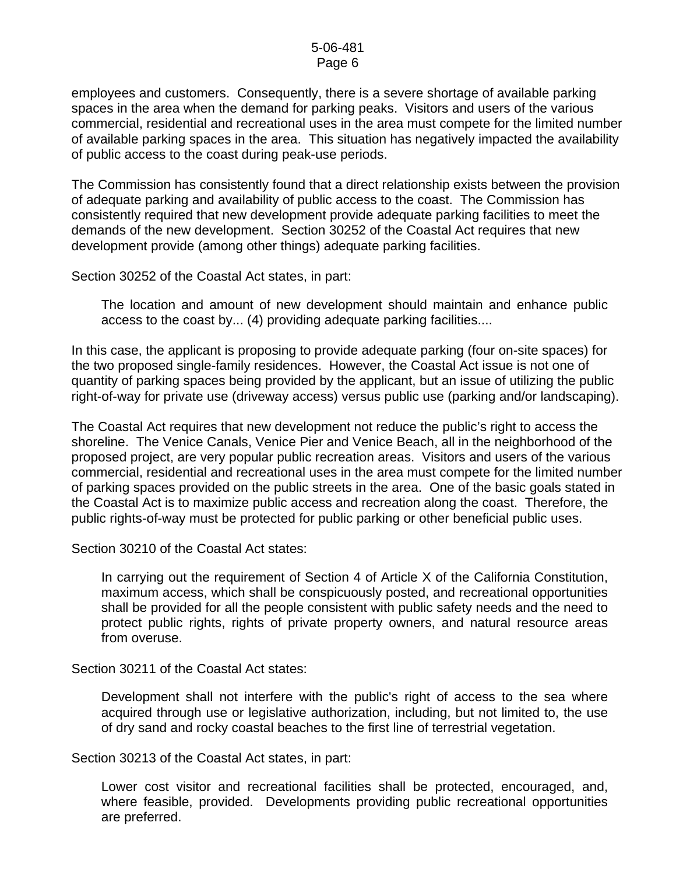employees and customers. Consequently, there is a severe shortage of available parking spaces in the area when the demand for parking peaks. Visitors and users of the various commercial, residential and recreational uses in the area must compete for the limited number of available parking spaces in the area. This situation has negatively impacted the availability of public access to the coast during peak-use periods.

The Commission has consistently found that a direct relationship exists between the provision of adequate parking and availability of public access to the coast. The Commission has consistently required that new development provide adequate parking facilities to meet the demands of the new development. Section 30252 of the Coastal Act requires that new development provide (among other things) adequate parking facilities.

Section 30252 of the Coastal Act states, in part:

The location and amount of new development should maintain and enhance public access to the coast by... (4) providing adequate parking facilities....

In this case, the applicant is proposing to provide adequate parking (four on-site spaces) for the two proposed single-family residences. However, the Coastal Act issue is not one of quantity of parking spaces being provided by the applicant, but an issue of utilizing the public right-of-way for private use (driveway access) versus public use (parking and/or landscaping).

The Coastal Act requires that new development not reduce the public's right to access the shoreline. The Venice Canals, Venice Pier and Venice Beach, all in the neighborhood of the proposed project, are very popular public recreation areas. Visitors and users of the various commercial, residential and recreational uses in the area must compete for the limited number of parking spaces provided on the public streets in the area. One of the basic goals stated in the Coastal Act is to maximize public access and recreation along the coast. Therefore, the public rights-of-way must be protected for public parking or other beneficial public uses.

Section 30210 of the Coastal Act states:

In carrying out the requirement of Section 4 of Article X of the California Constitution, maximum access, which shall be conspicuously posted, and recreational opportunities shall be provided for all the people consistent with public safety needs and the need to protect public rights, rights of private property owners, and natural resource areas from overuse.

Section 30211 of the Coastal Act states:

Development shall not interfere with the public's right of access to the sea where acquired through use or legislative authorization, including, but not limited to, the use of dry sand and rocky coastal beaches to the first line of terrestrial vegetation.

Section 30213 of the Coastal Act states, in part:

Lower cost visitor and recreational facilities shall be protected, encouraged, and, where feasible, provided. Developments providing public recreational opportunities are preferred.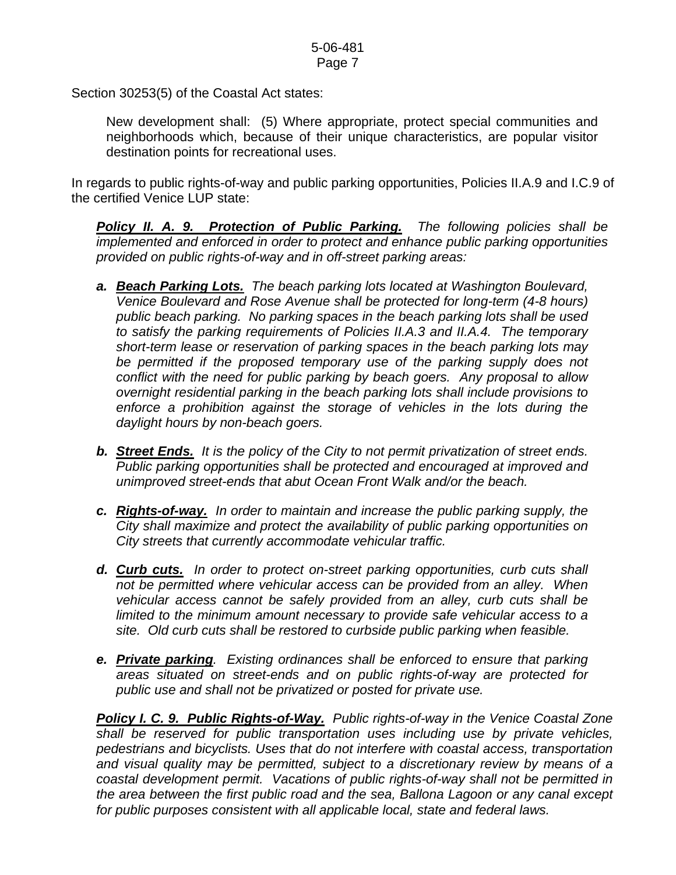Section 30253(5) of the Coastal Act states:

 New development shall: (5) Where appropriate, protect special communities and neighborhoods which, because of their unique characteristics, are popular visitor destination points for recreational uses.

In regards to public rights-of-way and public parking opportunities, Policies II.A.9 and I.C.9 of the certified Venice LUP state:

*Policy II. A. 9. Protection of Public Parking. The following policies shall be implemented and enforced in order to protect and enhance public parking opportunities provided on public rights-of-way and in off-street parking areas:* 

- *a. Beach Parking Lots. The beach parking lots located at Washington Boulevard, Venice Boulevard and Rose Avenue shall be protected for long-term (4-8 hours) public beach parking. No parking spaces in the beach parking lots shall be used to satisfy the parking requirements of Policies II.A.3 and II.A.4. The temporary short-term lease or reservation of parking spaces in the beach parking lots may*  be permitted if the proposed temporary use of the parking supply does not *conflict with the need for public parking by beach goers. Any proposal to allow overnight residential parking in the beach parking lots shall include provisions to enforce a prohibition against the storage of vehicles in the lots during the daylight hours by non-beach goers.*
- *b. Street Ends. It is the policy of the City to not permit privatization of street ends. Public parking opportunities shall be protected and encouraged at improved and unimproved street-ends that abut Ocean Front Walk and/or the beach.*
- *c. Rights-of-way. In order to maintain and increase the public parking supply, the City shall maximize and protect the availability of public parking opportunities on City streets that currently accommodate vehicular traffic.*
- *d. Curb cuts. In order to protect on-street parking opportunities, curb cuts shall not be permitted where vehicular access can be provided from an alley. When vehicular access cannot be safely provided from an alley, curb cuts shall be limited to the minimum amount necessary to provide safe vehicular access to a site. Old curb cuts shall be restored to curbside public parking when feasible.*
- *e. Private parking. Existing ordinances shall be enforced to ensure that parking areas situated on street-ends and on public rights-of-way are protected for public use and shall not be privatized or posted for private use.*

*Policy I. C. 9. Public Rights-of-Way. Public rights-of-way in the Venice Coastal Zone shall be reserved for public transportation uses including use by private vehicles, pedestrians and bicyclists. Uses that do not interfere with coastal access, transportation and visual quality may be permitted, subject to a discretionary review by means of a coastal development permit. Vacations of public rights-of-way shall not be permitted in the area between the first public road and the sea, Ballona Lagoon or any canal except for public purposes consistent with all applicable local, state and federal laws.*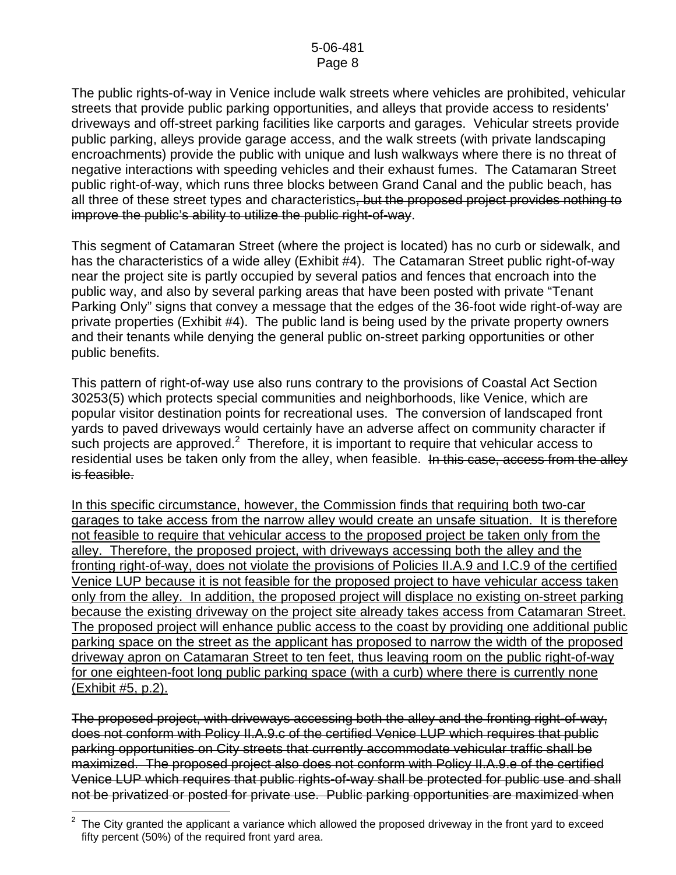The public rights-of-way in Venice include walk streets where vehicles are prohibited, vehicular streets that provide public parking opportunities, and alleys that provide access to residents' driveways and off-street parking facilities like carports and garages. Vehicular streets provide public parking, alleys provide garage access, and the walk streets (with private landscaping encroachments) provide the public with unique and lush walkways where there is no threat of negative interactions with speeding vehicles and their exhaust fumes. The Catamaran Street public right-of-way, which runs three blocks between Grand Canal and the public beach, has all three of these street types and characteristics, but the proposed project provides nothing to improve the public's ability to utilize the public right-of-way.

This segment of Catamaran Street (where the project is located) has no curb or sidewalk, and has the characteristics of a wide alley (Exhibit #4). The Catamaran Street public right-of-way near the project site is partly occupied by several patios and fences that encroach into the public way, and also by several parking areas that have been posted with private "Tenant Parking Only" signs that convey a message that the edges of the 36-foot wide right-of-way are private properties (Exhibit #4). The public land is being used by the private property owners and their tenants while denying the general public on-street parking opportunities or other public benefits.

This pattern of right-of-way use also runs contrary to the provisions of Coastal Act Section 30253(5) which protects special communities and neighborhoods, like Venice, which are popular visitor destination points for recreational uses. The conversion of landscaped front yards to paved driveways would certainly have an adverse affect on community character if such projects are approved.<sup>[2](#page-7-0)</sup> Therefore, it is important to require that vehicular access to residential uses be taken only from the alley, when feasible. In this case, access from the alley is feasible.

In this specific circumstance, however, the Commission finds that requiring both two-car garages to take access from the narrow alley would create an unsafe situation. It is therefore not feasible to require that vehicular access to the proposed project be taken only from the alley. Therefore, the proposed project, with driveways accessing both the alley and the fronting right-of-way, does not violate the provisions of Policies II.A.9 and I.C.9 of the certified Venice LUP because it is not feasible for the proposed project to have vehicular access taken only from the alley. In addition, the proposed project will displace no existing on-street parking because the existing driveway on the project site already takes access from Catamaran Street. The proposed project will enhance public access to the coast by providing one additional public parking space on the street as the applicant has proposed to narrow the width of the proposed driveway apron on Catamaran Street to ten feet, thus leaving room on the public right-of-way for one eighteen-foot long public parking space (with a curb) where there is currently none (Exhibit #5, p.2).

The proposed project, with driveways accessing both the alley and the fronting right-of-way, does not conform with Policy II.A.9.c of the certified Venice LUP which requires that public parking opportunities on City streets that currently accommodate vehicular traffic shall be maximized. The proposed project also does not conform with Policy II.A.9.e of the certified Venice LUP which requires that public rights-of-way shall be protected for public use and shall not be privatized or posted for private use. Public parking opportunities are maximized when

<span id="page-7-0"></span> $\overline{a}$  $2$  The City granted the applicant a variance which allowed the proposed driveway in the front yard to exceed fifty percent (50%) of the required front yard area.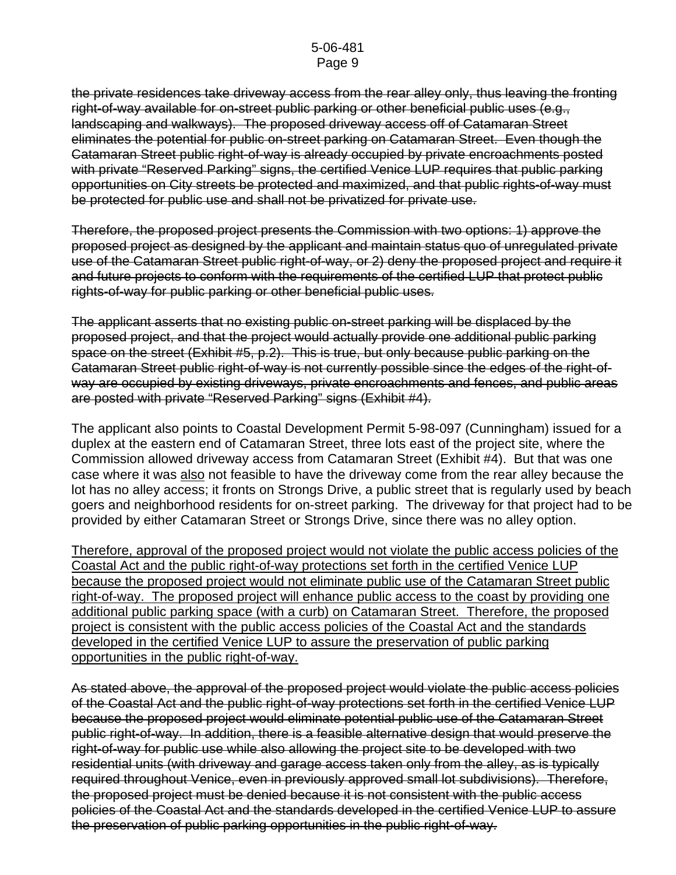the private residences take driveway access from the rear alley only, thus leaving the fronting right-of-way available for on-street public parking or other beneficial public uses (e.g., landscaping and walkways). The proposed driveway access off of Catamaran Street eliminates the potential for public on-street parking on Catamaran Street. Even though the Catamaran Street public right-of-way is already occupied by private encroachments posted with private "Reserved Parking" signs, the certified Venice LUP requires that public parking opportunities on City streets be protected and maximized, and that public rights-of-way must be protected for public use and shall not be privatized for private use.

Therefore, the proposed project presents the Commission with two options: 1) approve the proposed project as designed by the applicant and maintain status quo of unregulated private use of the Catamaran Street public right-of-way, or 2) deny the proposed project and require it and future projects to conform with the requirements of the certified LUP that protect public rights-of-way for public parking or other beneficial public uses.

The applicant asserts that no existing public on-street parking will be displaced by the proposed project, and that the project would actually provide one additional public parking space on the street (Exhibit #5, p.2). This is true, but only because public parking on the Catamaran Street public right-of-way is not currently possible since the edges of the right-ofway are occupied by existing driveways, private encroachments and fences, and public areas are posted with private "Reserved Parking" signs (Exhibit #4).

The applicant also points to Coastal Development Permit 5-98-097 (Cunningham) issued for a duplex at the eastern end of Catamaran Street, three lots east of the project site, where the Commission allowed driveway access from Catamaran Street (Exhibit #4). But that was one case where it was also not feasible to have the driveway come from the rear alley because the lot has no alley access; it fronts on Strongs Drive, a public street that is regularly used by beach goers and neighborhood residents for on-street parking. The driveway for that project had to be provided by either Catamaran Street or Strongs Drive, since there was no alley option.

Therefore, approval of the proposed project would not violate the public access policies of the Coastal Act and the public right-of-way protections set forth in the certified Venice LUP because the proposed project would not eliminate public use of the Catamaran Street public right-of-way. The proposed project will enhance public access to the coast by providing one additional public parking space (with a curb) on Catamaran Street. Therefore, the proposed project is consistent with the public access policies of the Coastal Act and the standards developed in the certified Venice LUP to assure the preservation of public parking opportunities in the public right-of-way.

As stated above, the approval of the proposed project would violate the public access policies of the Coastal Act and the public right-of-way protections set forth in the certified Venice LUP because the proposed project would eliminate potential public use of the Catamaran Street public right-of-way. In addition, there is a feasible alternative design that would preserve the right-of-way for public use while also allowing the project site to be developed with two residential units (with driveway and garage access taken only from the alley, as is typically required throughout Venice, even in previously approved small lot subdivisions). Therefore, the proposed project must be denied because it is not consistent with the public access policies of the Coastal Act and the standards developed in the certified Venice LUP to assure the preservation of public parking opportunities in the public right-of-way.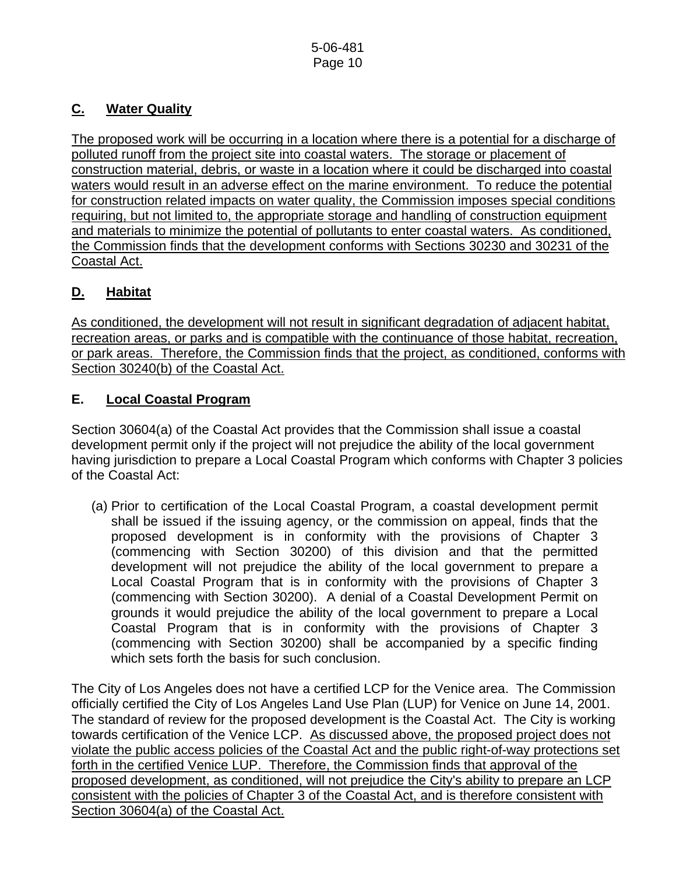## **C. Water Quality**

The proposed work will be occurring in a location where there is a potential for a discharge of polluted runoff from the project site into coastal waters. The storage or placement of construction material, debris, or waste in a location where it could be discharged into coastal waters would result in an adverse effect on the marine environment. To reduce the potential for construction related impacts on water quality, the Commission imposes special conditions requiring, but not limited to, the appropriate storage and handling of construction equipment and materials to minimize the potential of pollutants to enter coastal waters. As conditioned, the Commission finds that the development conforms with Sections 30230 and 30231 of the Coastal Act.

## **D. Habitat**

As conditioned, the development will not result in significant degradation of adjacent habitat, recreation areas, or parks and is compatible with the continuance of those habitat, recreation, or park areas. Therefore, the Commission finds that the project, as conditioned, conforms with Section 30240(b) of the Coastal Act.

## **E. Local Coastal Program**

Section 30604(a) of the Coastal Act provides that the Commission shall issue a coastal development permit only if the project will not prejudice the ability of the local government having jurisdiction to prepare a Local Coastal Program which conforms with Chapter 3 policies of the Coastal Act:

 (a) Prior to certification of the Local Coastal Program, a coastal development permit shall be issued if the issuing agency, or the commission on appeal, finds that the proposed development is in conformity with the provisions of Chapter 3 (commencing with Section 30200) of this division and that the permitted development will not prejudice the ability of the local government to prepare a Local Coastal Program that is in conformity with the provisions of Chapter 3 (commencing with Section 30200). A denial of a Coastal Development Permit on grounds it would prejudice the ability of the local government to prepare a Local Coastal Program that is in conformity with the provisions of Chapter 3 (commencing with Section 30200) shall be accompanied by a specific finding which sets forth the basis for such conclusion.

The City of Los Angeles does not have a certified LCP for the Venice area. The Commission officially certified the City of Los Angeles Land Use Plan (LUP) for Venice on June 14, 2001. The standard of review for the proposed development is the Coastal Act. The City is working towards certification of the Venice LCP. As discussed above, the proposed project does not violate the public access policies of the Coastal Act and the public right-of-way protections set forth in the certified Venice LUP. Therefore, the Commission finds that approval of the proposed development, as conditioned, will not prejudice the City's ability to prepare an LCP consistent with the policies of Chapter 3 of the Coastal Act, and is therefore consistent with Section 30604(a) of the Coastal Act.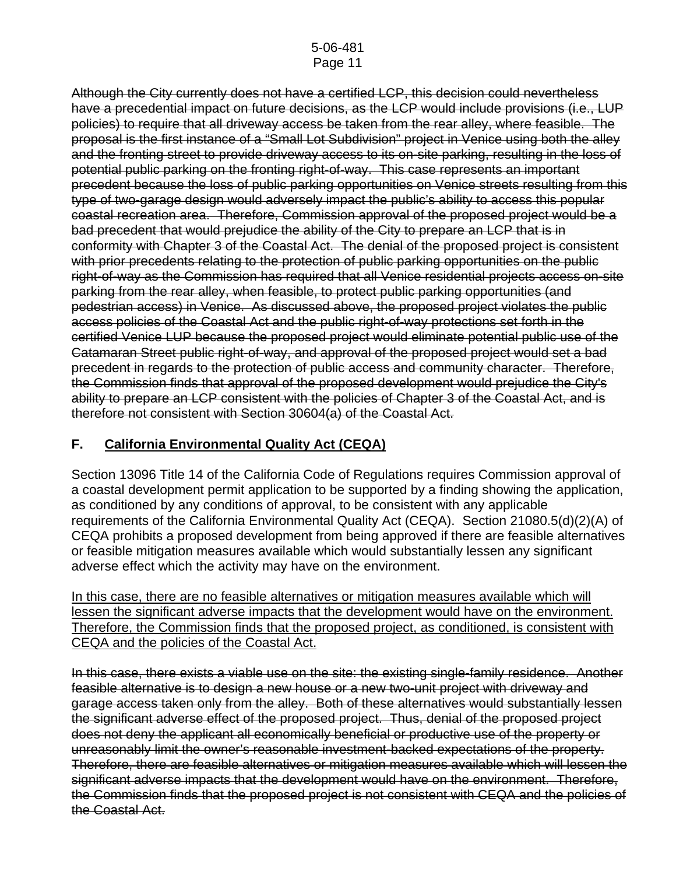Although the City currently does not have a certified LCP, this decision could nevertheless have a precedential impact on future decisions, as the LCP would include provisions (i.e., LUP policies) to require that all driveway access be taken from the rear alley, where feasible. The proposal is the first instance of a "Small Lot Subdivision" project in Venice using both the alley and the fronting street to provide driveway access to its on-site parking, resulting in the loss of potential public parking on the fronting right-of-way. This case represents an important precedent because the loss of public parking opportunities on Venice streets resulting from this type of two-garage design would adversely impact the public's ability to access this popular coastal recreation area. Therefore, Commission approval of the proposed project would be a bad precedent that would prejudice the ability of the City to prepare an LCP that is in conformity with Chapter 3 of the Coastal Act. The denial of the proposed project is consistent with prior precedents relating to the protection of public parking opportunities on the public right-of-way as the Commission has required that all Venice residential projects access on-site parking from the rear alley, when feasible, to protect public parking opportunities (and pedestrian access) in Venice. As discussed above, the proposed project violates the public access policies of the Coastal Act and the public right-of-way protections set forth in the certified Venice LUP because the proposed project would eliminate potential public use of the Catamaran Street public right-of-way, and approval of the proposed project would set a bad precedent in regards to the protection of public access and community character. Therefore, the Commission finds that approval of the proposed development would prejudice the City's ability to prepare an LCP consistent with the policies of Chapter 3 of the Coastal Act, and is therefore not consistent with Section 30604(a) of the Coastal Act.

## **F. California Environmental Quality Act (CEQA)**

Section 13096 Title 14 of the California Code of Regulations requires Commission approval of a coastal development permit application to be supported by a finding showing the application, as conditioned by any conditions of approval, to be consistent with any applicable requirements of the California Environmental Quality Act (CEQA). Section 21080.5(d)(2)(A) of CEQA prohibits a proposed development from being approved if there are feasible alternatives or feasible mitigation measures available which would substantially lessen any significant adverse effect which the activity may have on the environment.

In this case, there are no feasible alternatives or mitigation measures available which will lessen the significant adverse impacts that the development would have on the environment. Therefore, the Commission finds that the proposed project, as conditioned, is consistent with CEQA and the policies of the Coastal Act.

In this case, there exists a viable use on the site: the existing single-family residence. Another feasible alternative is to design a new house or a new two-unit project with driveway and garage access taken only from the alley. Both of these alternatives would substantially lessen the significant adverse effect of the proposed project. Thus, denial of the proposed project does not deny the applicant all economically beneficial or productive use of the property or unreasonably limit the owner's reasonable investment-backed expectations of the property. Therefore, there are feasible alternatives or mitigation measures available which will lessen the significant adverse impacts that the development would have on the environment. Therefore, the Commission finds that the proposed project is not consistent with CEQA and the policies of the Coastal Act.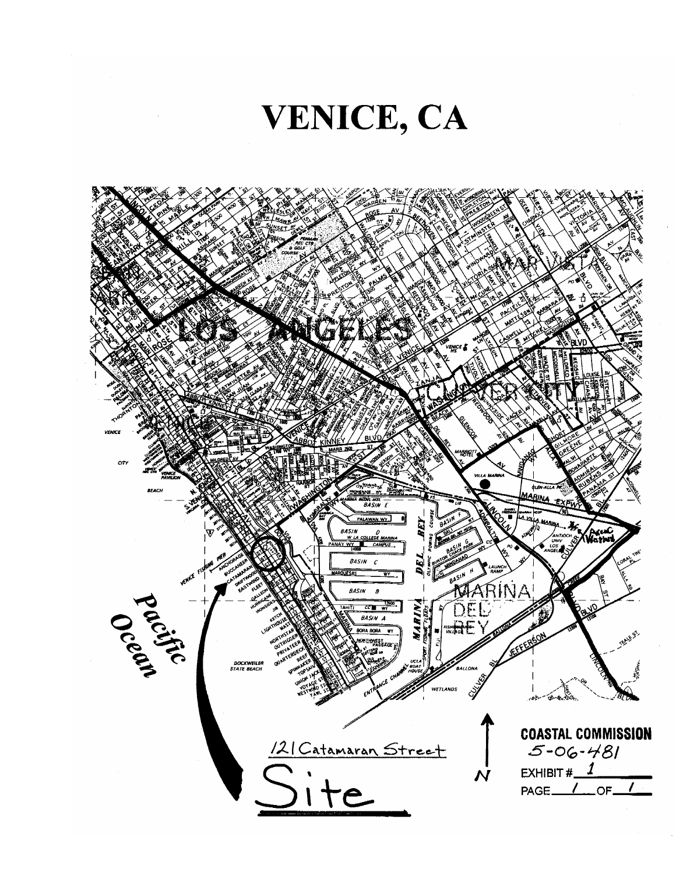

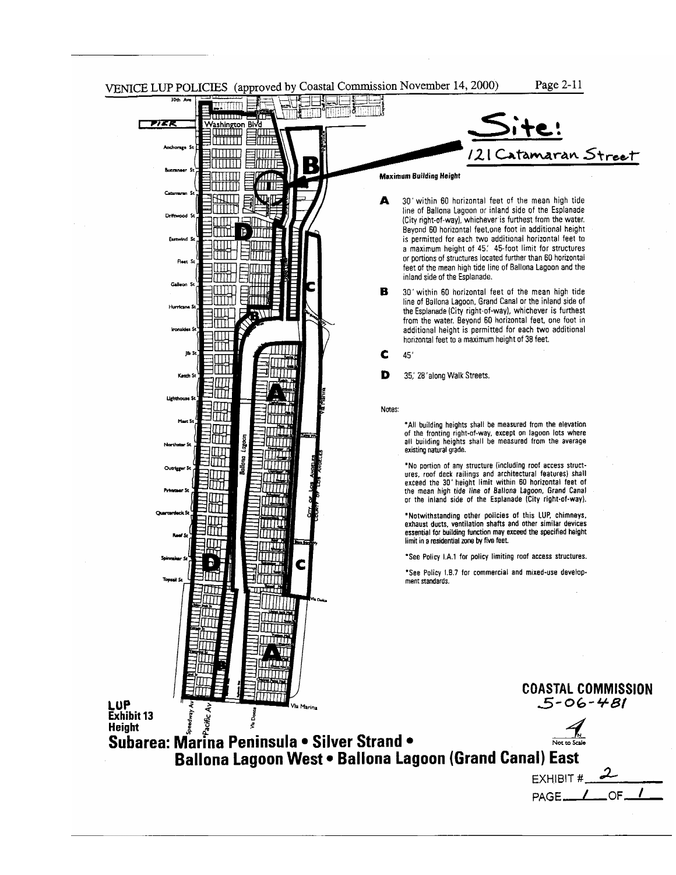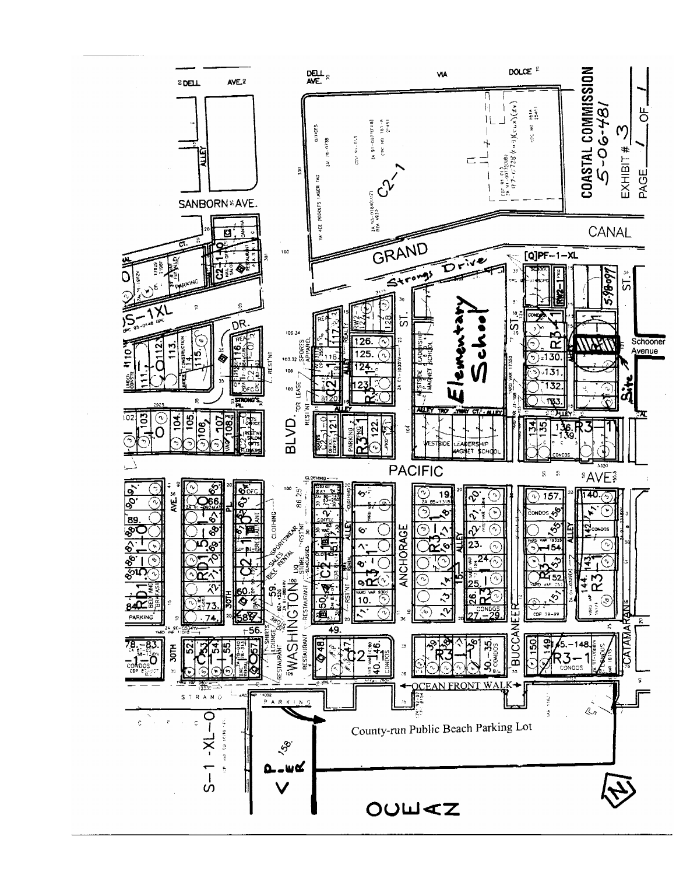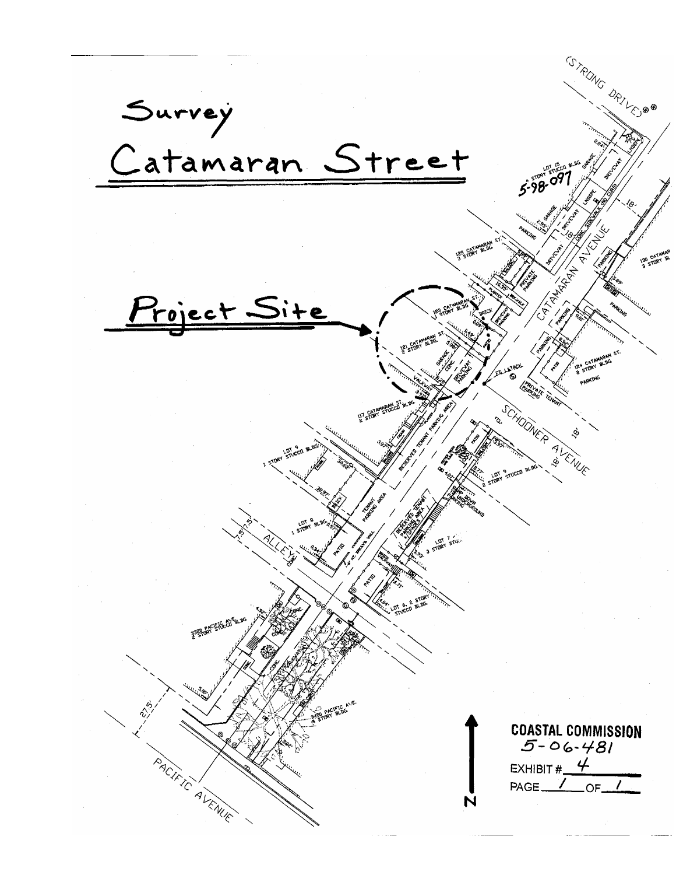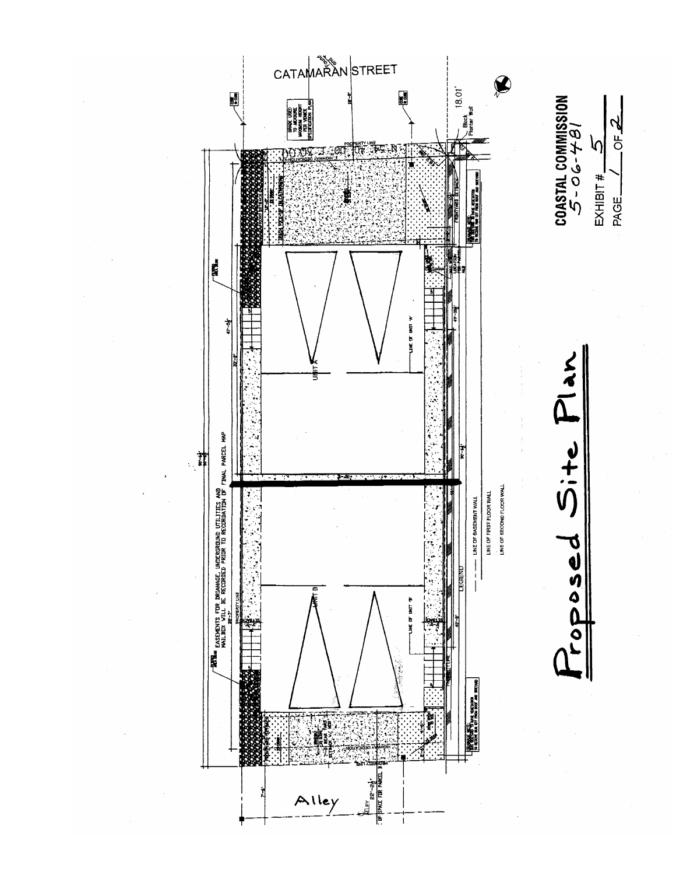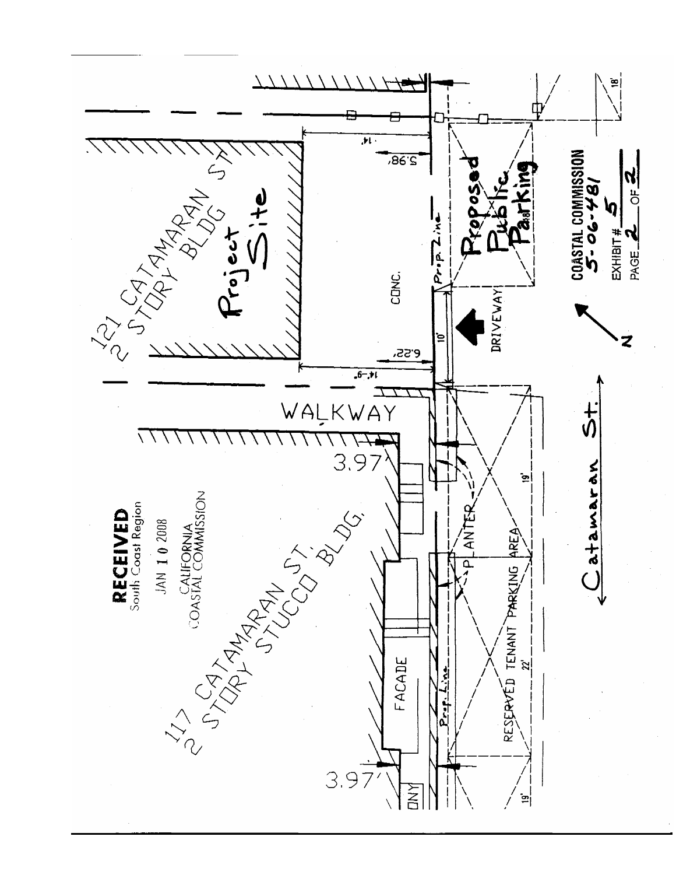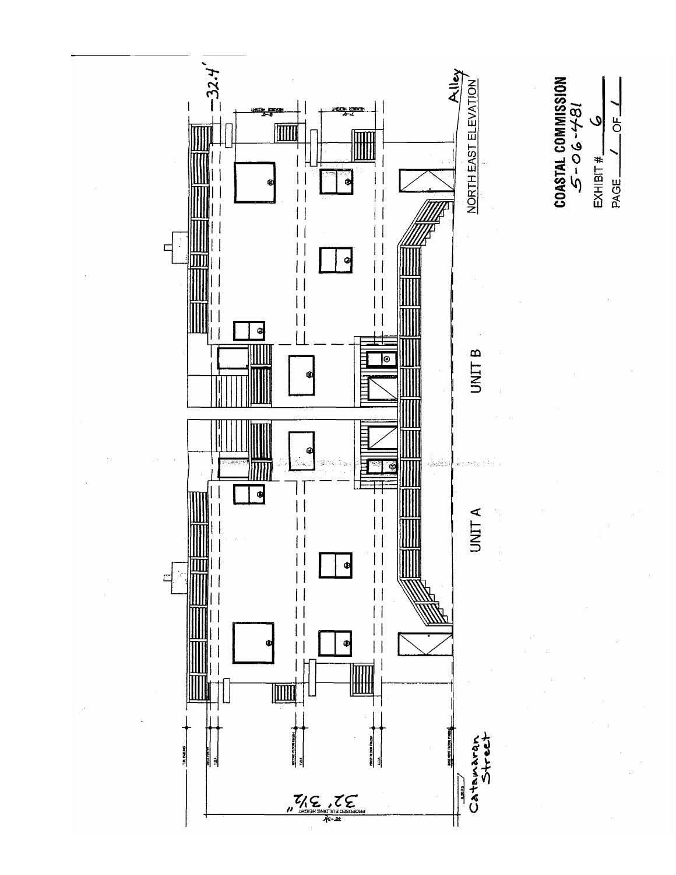